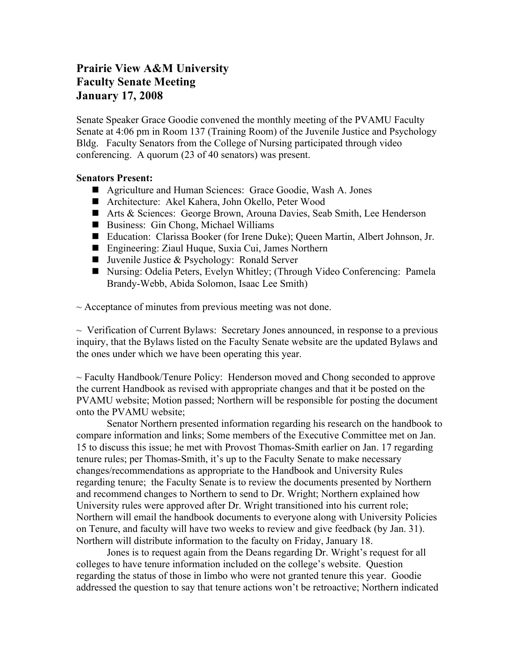## **Prairie View A&M University Faculty Senate Meeting January 17, 2008**

Senate Speaker Grace Goodie convened the monthly meeting of the PVAMU Faculty Senate at 4:06 pm in Room 137 (Training Room) of the Juvenile Justice and Psychology Bldg. Faculty Senators from the College of Nursing participated through video conferencing. A quorum (23 of 40 senators) was present.

## **Senators Present:**

- Agriculture and Human Sciences: Grace Goodie, Wash A. Jones
- Architecture: Akel Kahera, John Okello, Peter Wood
- Arts & Sciences: George Brown, Arouna Davies, Seab Smith, Lee Henderson
- Business: Gin Chong, Michael Williams
- Education: Clarissa Booker (for Irene Duke); Queen Martin, Albert Johnson, Jr.
- Engineering: Ziaul Huque, Suxia Cui, James Northern
- **Juvenile Justice & Psychology: Ronald Server**
- Nursing: Odelia Peters, Evelyn Whitley; (Through Video Conferencing: Pamela Brandy-Webb, Abida Solomon, Isaac Lee Smith)

 $\sim$  Acceptance of minutes from previous meeting was not done.

 $\sim$  Verification of Current Bylaws: Secretary Jones announced, in response to a previous inquiry, that the Bylaws listed on the Faculty Senate website are the updated Bylaws and the ones under which we have been operating this year.

~ Faculty Handbook/Tenure Policy: Henderson moved and Chong seconded to approve the current Handbook as revised with appropriate changes and that it be posted on the PVAMU website; Motion passed; Northern will be responsible for posting the document onto the PVAMU website;

Senator Northern presented information regarding his research on the handbook to compare information and links; Some members of the Executive Committee met on Jan. 15 to discuss this issue; he met with Provost Thomas-Smith earlier on Jan. 17 regarding tenure rules; per Thomas-Smith, it's up to the Faculty Senate to make necessary changes/recommendations as appropriate to the Handbook and University Rules regarding tenure; the Faculty Senate is to review the documents presented by Northern and recommend changes to Northern to send to Dr. Wright; Northern explained how University rules were approved after Dr. Wright transitioned into his current role; Northern will email the handbook documents to everyone along with University Policies on Tenure, and faculty will have two weeks to review and give feedback (by Jan. 31). Northern will distribute information to the faculty on Friday, January 18.

Jones is to request again from the Deans regarding Dr. Wright's request for all colleges to have tenure information included on the college's website. Question regarding the status of those in limbo who were not granted tenure this year. Goodie addressed the question to say that tenure actions won't be retroactive; Northern indicated